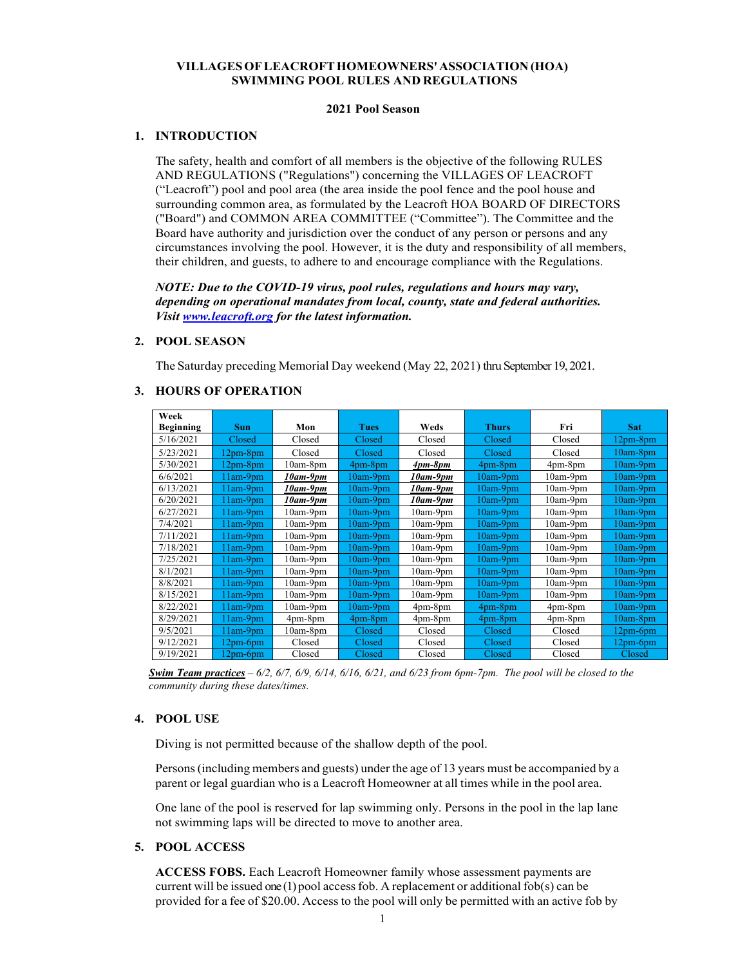# **VILLAGES OF LEACROFT HOMEOWNERS' ASSOCIATION (HOA) SWIMMING POOL RULES AND REGULATIONS**

### **2021 Pool Season**

## **1. INTRODUCTION**

The safety, health and comfort of all members is the objective of the following RULES AND REGULATIONS ("Regulations") concerning the VILLAGES OF LEACROFT ("Leacroft") pool and pool area (the area inside the pool fence and the pool house and surrounding common area, as formulated by the Leacroft HOA BOARD OF DIRECTORS ("Board") and COMMON AREA COMMITTEE ("Committee"). The Committee and the Board have authority and jurisdiction over the conduct of any person or persons and any circumstances involving the pool. However, it is the duty and responsibility of all members, their children, and guests, to adhere to and encourage compliance with the Regulations.

*NOTE: Due to the COVID-19 virus, pool rules, regulations and hours may vary, depending on operational mandates from local, county, state and federal authorities. Visit www.leacroft.org for the latest information.*

### **2. POOL SEASON**

The Saturday preceding Memorial Day weekend (May 22, 2021) thru September 19, 2021.

| Week             |            |                 |             |                 |               |               |                 |
|------------------|------------|-----------------|-------------|-----------------|---------------|---------------|-----------------|
| <b>Beginning</b> | <b>Sun</b> | Mon             | <b>Tues</b> | Weds            | <b>Thurs</b>  | Fri           | <b>Sat</b>      |
| 5/16/2021        | Closed     | Closed          | Closed      | Closed          | Closed        | Closed        | $12pm-8pm$      |
| 5/23/2021        | $12pm-8pm$ | Closed          | Closed      | Closed          | Closed        | Closed        | $10am-8pm$      |
| 5/30/2021        | $12pm-8pm$ | $10am-8pm$      | 4pm-8pm     | $4pm-8pm$       | 4pm-8pm       | $4pm$ -8 $pm$ | $10am-9pm$      |
| 6/6/2021         | $11am-9pm$ | 10am-9pm        | 10am-9pm    | $10$ am- $9$ pm | $10am-9pm$    | $10am-9pm$    | $10am-9pm$      |
| 6/13/2021        | $11am-9pm$ | 10am-9pm        | $10am-9pm$  | $10$ am- $9$ pm | $10am-9pm$    | $10am-9pm$    | $10am-9pm$      |
| 6/20/2021        | $11am-9pm$ | $10$ am- $9$ pm | $10am-9pm$  | $10$ am- $9$ pm | $10am-9pm$    | $10am-9pm$    | $10am-9pm$      |
| 6/27/2021        | $11am-9pm$ | $10am-9pm$      | $10am-9pm$  | $10am-9pm$      | $10am-9pm$    | $10am-9pm$    | $10am-9pm$      |
| 7/4/2021         | l lam-9pm  | $10am-9pm$      | $10am-9pm$  | $10am-9pm$      | $10am-9pm$    | $10am-9pm$    | $10am-9pm$      |
| 7/11/2021        | $11am-9pm$ | $10am-9pm$      | $10am-9pm$  | $10am-9pm$      | $10am-9pm$    | $10am-9pm$    | $10am-9pm$      |
| 7/18/2021        | $11am-9pm$ | $10am-9pm$      | 10am-9pm    | $10am-9pm$      | $10am-9pm$    | $10am-9pm$    | $10am-9pm$      |
| 7/25/2021        | $11am-9pm$ | $10am-9pm$      | $10am-9pm$  | $10am-9pm$      | $10am-9pm$    | $10am-9pm$    | $10am-9pm$      |
| 8/1/2021         | 11am-9pm   | $10am-9pm$      | $10am-9pm$  | $10am-9pm$      | $10am-9pm$    | $10am-9pm$    | $10$ am- $9$ pm |
| 8/8/2021         | $11am-9pm$ | $10am-9pm$      | $10am-9pm$  | $10am-9pm$      | $10am-9pm$    | $10am-9pm$    | $10am-9pm$      |
| 8/15/2021        | $11am-9pm$ | $10am-9pm$      | $10am-9pm$  | $10am-9pm$      | $10am-9pm$    | $10am-9pm$    | $10am-9pm$      |
| 8/22/2021        | $11am-9pm$ | $10am-9pm$      | $10am-9pm$  | $4pm-8pm$       | 4pm-8pm       | $4pm$ -8 $pm$ | $10am-9pm$      |
| 8/29/2021        | $11am-9pm$ | $4pm-8pm$       | 4pm-8pm     | $4pm-8pm$       | $4pm$ - $8pm$ | $4pm-8pm$     | $10am-8pm$      |
| 9/5/2021         | $11am-9pm$ | $10am-8pm$      | Closed      | Closed          | Closed        | Closed        | $12pm$ -6pm     |
| 9/12/2021        | 12pm-6pm   | Closed          | Closed      | Closed          | Closed        | Closed        | $12pm$ -6pm     |
| 9/19/2021        | 12pm-6pm   | Closed          | Closed      | Closed          | Closed        | Closed        | Closed          |

#### **3. HOURS OF OPERATION**

*Swim Team practices – 6/2, 6/7, 6/9, 6/14, 6/16, 6/21, and 6/23 from 6pm-7pm. The pool will be closed to the community during these dates/times.* 

## **4. POOL USE**

Diving is not permitted because of the shallow depth of the pool.

Persons (including members and guests) under the age of 13 years must be accompanied by a parent or legal guardian who is a Leacroft Homeowner at all times while in the pool area.

One lane of the pool is reserved for lap swimming only. Persons in the pool in the lap lane not swimming laps will be directed to move to another area.

#### **5. POOL ACCESS**

**ACCESS FOBS.** Each Leacroft Homeowner family whose assessment payments are current will be issued one (1) pool access fob. A replacement or additional fob(s) can be provided for a fee of \$20.00. Access to the pool will only be permitted with an active fob by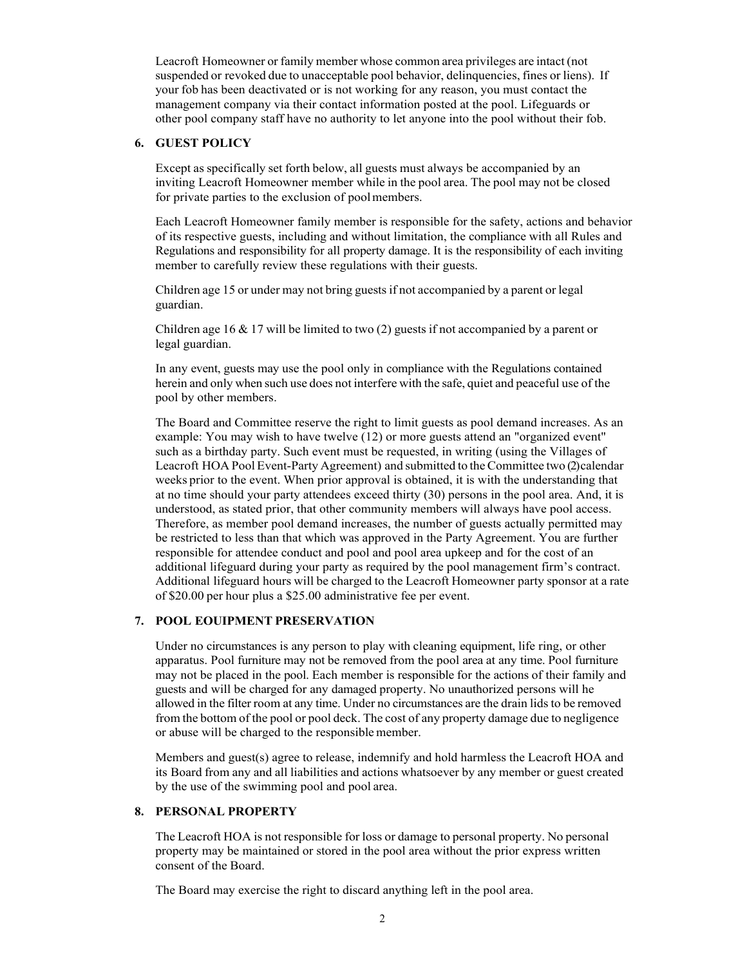Leacroft Homeowner or family member whose common area privileges are intact (not suspended or revoked due to unacceptable pool behavior, delinquencies, fines or liens). If your fob has been deactivated or is not working for any reason, you must contact the management company via their contact information posted at the pool. Lifeguards or other pool company staff have no authority to let anyone into the pool without their fob.

## **6. GUEST POLICY**

Except as specifically set forth below, all guests must always be accompanied by an inviting Leacroft Homeowner member while in the pool area. The pool may not be closed for private parties to the exclusion of pool members.

Each Leacroft Homeowner family member is responsible for the safety, actions and behavior of its respective guests, including and without limitation, the compliance with all Rules and Regulations and responsibility for all property damage. It is the responsibility of each inviting member to carefully review these regulations with their guests.

Children age 15 or under may not bring guests if not accompanied by a parent or legal guardian.

Children age 16 & 17 will be limited to two (2) guests if not accompanied by a parent or legal guardian.

In any event, guests may use the pool only in compliance with the Regulations contained herein and only when such use does not interfere with the safe, quiet and peaceful use of the pool by other members.

The Board and Committee reserve the right to limit guests as pool demand increases. As an example: You may wish to have twelve (12) or more guests attend an "organized event" such as a birthday party. Such event must be requested, in writing (using the Villages of Leacroft HOA Pool Event-Party Agreement) and submitted to the Committee two (2) calendar weeks prior to the event. When prior approval is obtained, it is with the understanding that at no time should your party attendees exceed thirty (30) persons in the pool area. And, it is understood, as stated prior, that other community members will always have pool access. Therefore, as member pool demand increases, the number of guests actually permitted may be restricted to less than that which was approved in the Party Agreement. You are further responsible for attendee conduct and pool and pool area upkeep and for the cost of an additional lifeguard during your party as required by the pool management firm's contract. Additional lifeguard hours will be charged to the Leacroft Homeowner party sponsor at a rate of \$20.00 per hour plus a \$25.00 administrative fee per event.

### **7. POOL EOUIPMENT PRESERVATION**

Under no circumstances is any person to play with cleaning equipment, life ring, or other apparatus. Pool furniture may not be removed from the pool area at any time. Pool furniture may not be placed in the pool. Each member is responsible for the actions of their family and guests and will be charged for any damaged property. No unauthorized persons will he allowed in the filter room at any time. Under no circumstances are the drain lids to be removed from the bottom of the pool or pool deck. The cost of any property damage due to negligence or abuse will be charged to the responsible member.

Members and guest(s) agree to release, indemnify and hold harmless the Leacroft HOA and its Board from any and all liabilities and actions whatsoever by any member or guest created by the use of the swimming pool and pool area.

## **8. PERSONAL PROPERTY**

The Leacroft HOA is not responsible for loss or damage to personal property. No personal property may be maintained or stored in the pool area without the prior express written consent of the Board.

The Board may exercise the right to discard anything left in the pool area.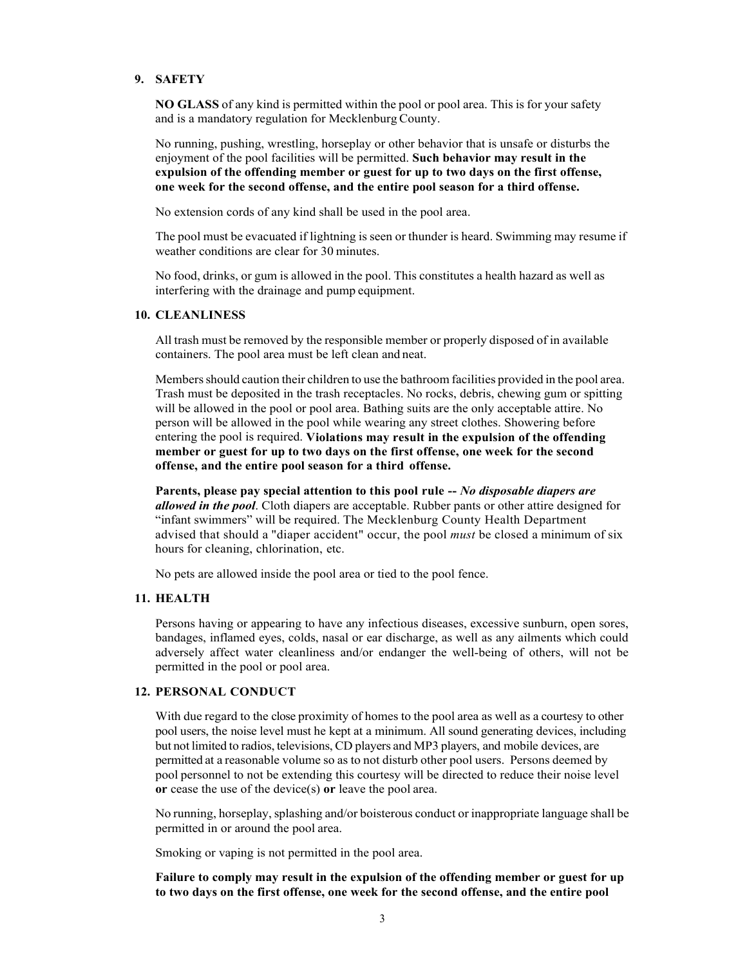## **9. SAFETY**

**NO GLASS** of any kind is permitted within the pool or pool area. This is for your safety and is a mandatory regulation for Mecklenburg County.

No running, pushing, wrestling, horseplay or other behavior that is unsafe or disturbs the enjoyment of the pool facilities will be permitted. **Such behavior may result in the expulsion of the offending member or guest for up to two days on the first offense, one week for the second offense, and the entire pool season for a third offense.**

No extension cords of any kind shall be used in the pool area.

The pool must be evacuated if lightning is seen or thunder is heard. Swimming may resume if weather conditions are clear for 30 minutes.

No food, drinks, or gum is allowed in the pool. This constitutes a health hazard as well as interfering with the drainage and pump equipment.

### **10. CLEANLINESS**

All trash must be removed by the responsible member or properly disposed of in available containers. The pool area must be left clean and neat.

Members should caution their children to use the bathroom facilities provided in the pool area. Trash must be deposited in the trash receptacles. No rocks, debris, chewing gum or spitting will be allowed in the pool or pool area. Bathing suits are the only acceptable attire. No person will be allowed in the pool while wearing any street clothes. Showering before entering the pool is required. **Violations may result in the expulsion of the offending member or guest for up to two days on the first offense, one week for the second offense, and the entire pool season for a third offense.**

**Parents, please pay special attention to this pool rule --** *No disposable diapers are allowed in the pool*. Cloth diapers are acceptable. Rubber pants or other attire designed for "infant swimmers" will be required. The Mecklenburg County Health Department advised that should a "diaper accident" occur, the pool *must* be closed a minimum of six hours for cleaning, chlorination, etc.

No pets are allowed inside the pool area or tied to the pool fence.

### **11. HEALTH**

Persons having or appearing to have any infectious diseases, excessive sunburn, open sores, bandages, inflamed eyes, colds, nasal or ear discharge, as well as any ailments which could adversely affect water cleanliness and/or endanger the well-being of others, will not be permitted in the pool or pool area.

## **12. PERSONAL CONDUCT**

With due regard to the close proximity of homes to the pool area as well as a courtesy to other pool users, the noise level must he kept at a minimum. All sound generating devices, including but not limited to radios, televisions, CD players and MP3 players, and mobile devices, are permitted at a reasonable volume so as to not disturb other pool users. Persons deemed by pool personnel to not be extending this courtesy will be directed to reduce their noise level **or** cease the use of the device(s) **or** leave the pool area.

No running, horseplay, splashing and/or boisterous conduct or inappropriate language shall be permitted in or around the pool area.

Smoking or vaping is not permitted in the pool area.

**Failure to comply may result in the expulsion of the offending member or guest for up to two days on the first offense, one week for the second offense, and the entire pool**